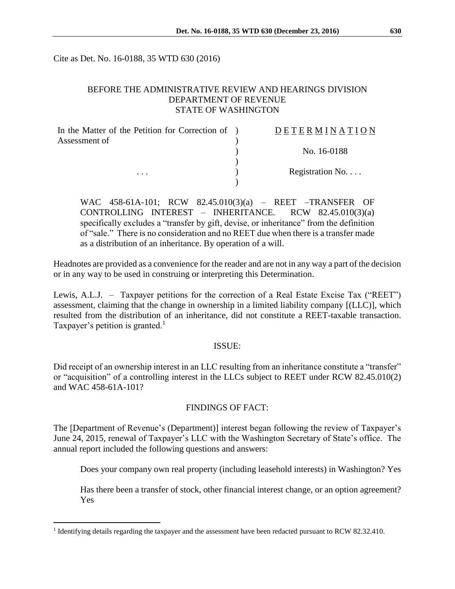Cite as Det. No. 16-0188, 35 WTD 630 (2016)

### BEFORE THE ADMINISTRATIVE REVIEW AND HEARINGS DIVISION DEPARTMENT OF REVENUE STATE OF WASHINGTON

| In the Matter of the Petition for Correction of ) | DETERMINATION   |
|---------------------------------------------------|-----------------|
| Assessment of                                     |                 |
| .                                                 | No. 16-0188     |
|                                                   |                 |
|                                                   | Registration No |
|                                                   |                 |

WAC 458-61A-101; RCW 82.45.010(3)(a) – REET –TRANSFER OF CONTROLLING INTEREST – INHERITANCE. RCW 82.45.010(3)(a) specifically excludes a "transfer by gift, devise, or inheritance" from the definition of "sale." There is no consideration and no REET due when there is a transfer made as a distribution of an inheritance. By operation of a will.

Headnotes are provided as a convenience for the reader and are not in any way a part of the decision or in any way to be used in construing or interpreting this Determination.

Lewis, A.L.J. – Taxpayer petitions for the correction of a Real Estate Excise Tax ("REET") assessment, claiming that the change in ownership in a limited liability company [(LLC)], which resulted from the distribution of an inheritance, did not constitute a REET-taxable transaction. Taxpayer's petition is granted.<sup>1</sup>

### ISSUE:

Did receipt of an ownership interest in an LLC resulting from an inheritance constitute a "transfer" or "acquisition" of a controlling interest in the LLCs subject to REET under RCW 82.45.010(2) and WAC 458-61A-101?

### FINDINGS OF FACT:

The [Department of Revenue's (Department)] interest began following the review of Taxpayer's June 24, 2015, renewal of Taxpayer's LLC with the Washington Secretary of State's office. The annual report included the following questions and answers:

Does your company own real property (including leasehold interests) in Washington? Yes

Has there been a transfer of stock, other financial interest change, or an option agreement? Yes

 $\overline{a}$ 

<sup>&</sup>lt;sup>1</sup> Identifying details regarding the taxpayer and the assessment have been redacted pursuant to RCW 82.32.410.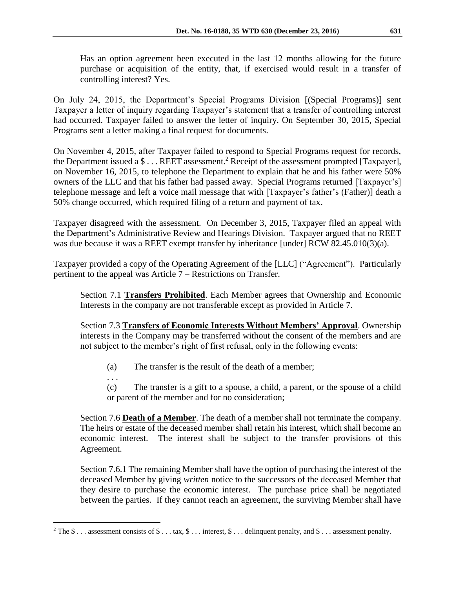Has an option agreement been executed in the last 12 months allowing for the future purchase or acquisition of the entity, that, if exercised would result in a transfer of controlling interest? Yes.

On July 24, 2015, the Department's Special Programs Division [(Special Programs)] sent Taxpayer a letter of inquiry regarding Taxpayer's statement that a transfer of controlling interest had occurred. Taxpayer failed to answer the letter of inquiry. On September 30, 2015, Special Programs sent a letter making a final request for documents.

On November 4, 2015, after Taxpayer failed to respond to Special Programs request for records, the Department issued a \$ . . . REET assessment.<sup>2</sup> Receipt of the assessment prompted [Taxpayer], on November 16, 2015, to telephone the Department to explain that he and his father were 50% owners of the LLC and that his father had passed away. Special Programs returned [Taxpayer's] telephone message and left a voice mail message that with [Taxpayer's father's (Father)] death a 50% change occurred, which required filing of a return and payment of tax.

Taxpayer disagreed with the assessment. On December 3, 2015, Taxpayer filed an appeal with the Department's Administrative Review and Hearings Division. Taxpayer argued that no REET was due because it was a REET exempt transfer by inheritance [under] RCW 82.45.010(3)(a).

Taxpayer provided a copy of the Operating Agreement of the [LLC] ("Agreement"). Particularly pertinent to the appeal was Article 7 – Restrictions on Transfer.

Section 7.1 **Transfers Prohibited**. Each Member agrees that Ownership and Economic Interests in the company are not transferable except as provided in Article 7.

Section 7.3 **Transfers of Economic Interests Without Members' Approval**. Ownership interests in the Company may be transferred without the consent of the members and are not subject to the member's right of first refusal, only in the following events:

(a) The transfer is the result of the death of a member;

. . .

 $\overline{a}$ 

(c) The transfer is a gift to a spouse, a child, a parent, or the spouse of a child or parent of the member and for no consideration;

Section 7.6 **Death of a Member**. The death of a member shall not terminate the company. The heirs or estate of the deceased member shall retain his interest, which shall become an economic interest. The interest shall be subject to the transfer provisions of this Agreement.

Section 7.6.1 The remaining Member shall have the option of purchasing the interest of the deceased Member by giving *written* notice to the successors of the deceased Member that they desire to purchase the economic interest. The purchase price shall be negotiated between the parties. If they cannot reach an agreement, the surviving Member shall have

<sup>&</sup>lt;sup>2</sup> The \$ . . . assessment consists of \$ . . . tax, \$ . . . interest, \$ . . . delinquent penalty, and \$ . . . assessment penalty.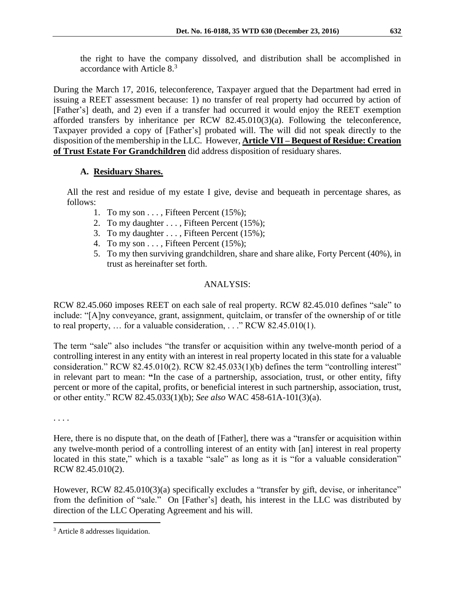the right to have the company dissolved, and distribution shall be accomplished in accordance with Article 8.<sup>3</sup>

During the March 17, 2016, teleconference, Taxpayer argued that the Department had erred in issuing a REET assessment because: 1) no transfer of real property had occurred by action of [Father's] death, and 2) even if a transfer had occurred it would enjoy the REET exemption afforded transfers by inheritance per RCW 82.45.010(3)(a). Following the teleconference, Taxpayer provided a copy of [Father's] probated will. The will did not speak directly to the disposition of the membership in the LLC. However, **Article VII – Bequest of Residue: Creation of Trust Estate For Grandchildren** did address disposition of residuary shares.

## **A. Residuary Shares.**

All the rest and residue of my estate I give, devise and bequeath in percentage shares, as follows:

- 1. To my son . . . , Fifteen Percent (15%);
- 2. To my daughter . . . , Fifteen Percent (15%);
- 3. To my daughter . . . , Fifteen Percent (15%);
- 4. To my son . . . , Fifteen Percent (15%);
- 5. To my then surviving grandchildren, share and share alike, Forty Percent (40%), in trust as hereinafter set forth.

# ANALYSIS:

RCW 82.45.060 imposes REET on each sale of real property. RCW 82.45.010 defines "sale" to include: "[A]ny conveyance, grant, assignment, quitclaim, or transfer of the ownership of or title to real property, … for a valuable consideration, . . ." RCW 82.45.010(1).

The term "sale" also includes "the transfer or acquisition within any twelve-month period of a controlling interest in any entity with an interest in real property located in this state for a valuable consideration." RCW 82.45.010(2). RCW 82.45.033(1)(b) defines the term "controlling interest" in relevant part to mean: **"**In the case of a partnership, association, trust, or other entity, fifty percent or more of the capital, profits, or beneficial interest in such partnership, association, trust, or other entity." RCW 82.45.033(1)(b); *See also* WAC 458-61A-101(3)(a).

. . . .

 $\overline{a}$ 

Here, there is no dispute that, on the death of [Father], there was a "transfer or acquisition within any twelve-month period of a controlling interest of an entity with [an] interest in real property located in this state," which is a taxable "sale" as long as it is "for a valuable consideration" RCW 82.45.010(2).

However, RCW 82.45.010(3)(a) specifically excludes a "transfer by gift, devise, or inheritance" from the definition of "sale." On [Father's] death, his interest in the LLC was distributed by direction of the LLC Operating Agreement and his will.

<sup>3</sup> Article 8 addresses liquidation.